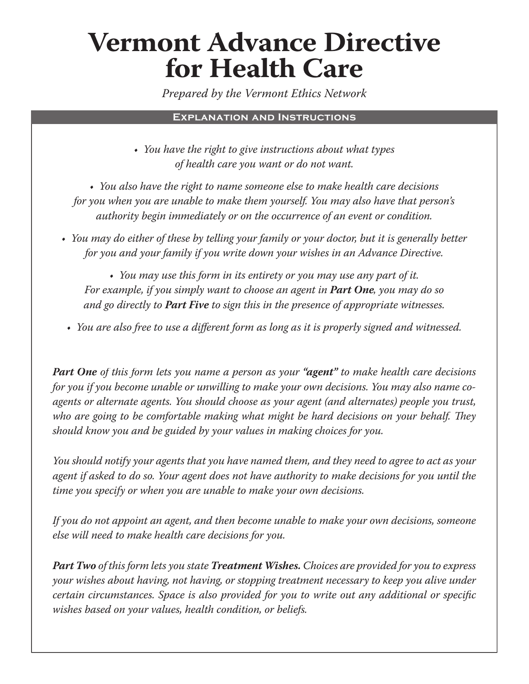## **Vermont Advance Directive for Health Care**

*Prepared by the Vermont Ethics Network*

## **Explanation and Instructions**

*• You have the right to give instructions about what types of health care you want or do not want.* 

*• You also have the right to name someone else to make health care decisions for you when you are unable to make them yourself. You may also have that person's authority begin immediately or on the occurrence of an event or condition.* 

*• You may do either of these by telling your family or your doctor, but it is generally better for you and your family if you write down your wishes in an Advance Directive.* 

*• You may use this form in its entirety or you may use any part of it. For example, if you simply want to choose an agent in Part One , you may do so , you may do so and go directly to Part Five to sign this in the presence of appropriate witnesses. to sign this in the presence of appropriate witnesses.*

• You are also free to use a different form as long as it is properly signed and witnessed.

**Part One** of this form lets you name a person as your "**agent**" to make health care decisions *for you if you become unable or unwilling to make your own decisions. You may also name coagents or alternate agents. You should choose as your agent (and alternates) people you trust,*  who are going to be comfortable making what might be hard decisions on your behalf. They *should know you and be guided by your values in making choices for you.* 

*You should notify your agents that you have named them, and they need to agree to act as your agent if asked to do so. Your agent does not have authority to make decisions for you until the time you specify or when you are unable to make your own decisions.* 

*If you do not appoint an agent, and then become unable to make your own decisions, someone else will need to make health care decisions for you.*

*Part Two of this form lets you state Treatment Wishes. Choices are provided for you to express your wishes about having, not having, or stopping treatment necessary to keep you alive under certain circumstances. Space is also provided for you to write out any additional or specific wishes based on your values, health condition, or beliefs.*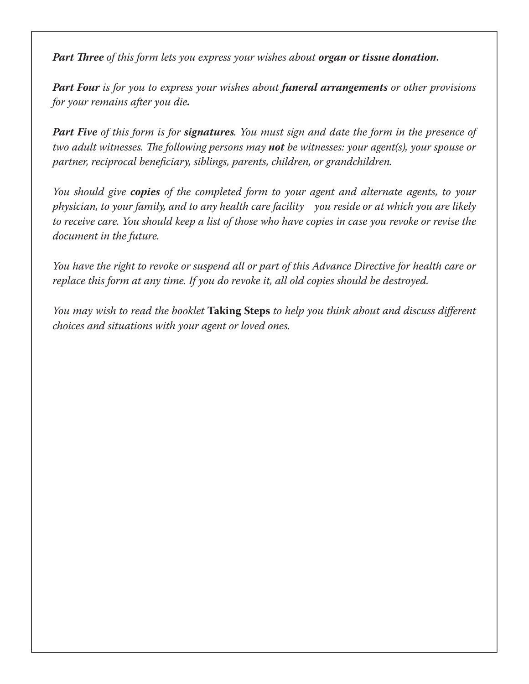*Part Three of this form lets you express your wishes about organ or tissue donation.* 

*Part Foural is for you to express your wishes about funeral arrangements or other provisions for your remains after you die.*

*Part Five of this form is for signatures. You must sign and date the form in the presence of two adult witnesses. The following persons may not be witnesses: your agent(s), your spouse or partner, reciprocal beneficiary, siblings, parents, children, or grand children.* 

You should give copies of the completed form to your agent and alternate agents, to your  *physician, to your family, and to any health care facility you reside or at which you are likely to receive care. You should keep a list of those who have copies in case you revoke or revise the document in the future.* 

*You have the right to revoke or suspend all or part of this Advance Directive for health care or replace this form at any time. If you do revoke it, all old copies should be destroyed.*

*You may wish to read the booklet* **Taking Steps** *to help you think about and discuss different choices and situations with your agent or loved ones.*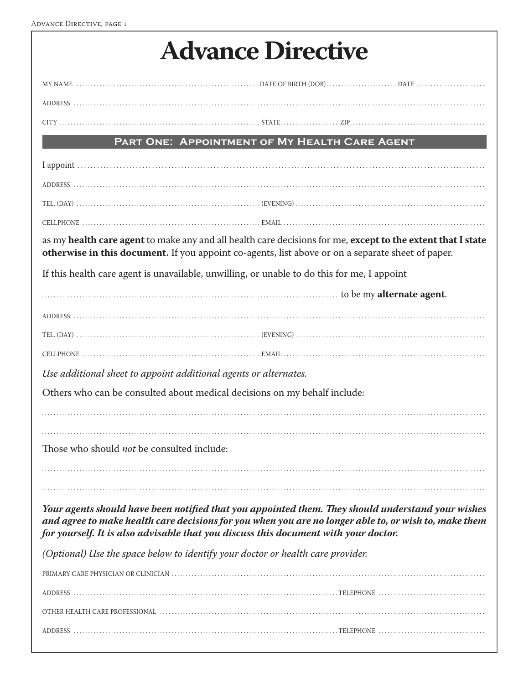| <b>Advance Directive</b> |  |
|--------------------------|--|
|--------------------------|--|

|                                                                                                   | PART ONE: APPOINTMENT OF MY HEALTH CARE AGENT                                                                                                                                                              |
|---------------------------------------------------------------------------------------------------|------------------------------------------------------------------------------------------------------------------------------------------------------------------------------------------------------------|
|                                                                                                   |                                                                                                                                                                                                            |
|                                                                                                   |                                                                                                                                                                                                            |
|                                                                                                   |                                                                                                                                                                                                            |
|                                                                                                   |                                                                                                                                                                                                            |
| otherwise in this document. If you appoint co-agents, list above or on a separate sheet of paper. | as my health care agent to make any and all health care decisions for me, except to the extent that I state                                                                                                |
| If this health care agent is unavailable, unwilling, or unable to do this for me, I appoint       |                                                                                                                                                                                                            |
|                                                                                                   | to be my <b>alternate agent</b> .                                                                                                                                                                          |
|                                                                                                   |                                                                                                                                                                                                            |
|                                                                                                   |                                                                                                                                                                                                            |
|                                                                                                   |                                                                                                                                                                                                            |
| Use additional sheet to appoint additional agents or alternates.                                  |                                                                                                                                                                                                            |
| Others who can be consulted about medical decisions on my behalf include:                         |                                                                                                                                                                                                            |
|                                                                                                   |                                                                                                                                                                                                            |
|                                                                                                   |                                                                                                                                                                                                            |
| Those who should <i>not</i> be consulted include:                                                 |                                                                                                                                                                                                            |
|                                                                                                   |                                                                                                                                                                                                            |
| for yourself. It is also advisable that you discuss this document with your doctor.               | Your agents should have been notified that you appointed them. They should understand your wishes<br>and agree to make health care decisions for you when you are no longer able to, or wish to, make them |
| (Optional) Use the space below to identify your doctor or health care provider.                   |                                                                                                                                                                                                            |
|                                                                                                   |                                                                                                                                                                                                            |
|                                                                                                   |                                                                                                                                                                                                            |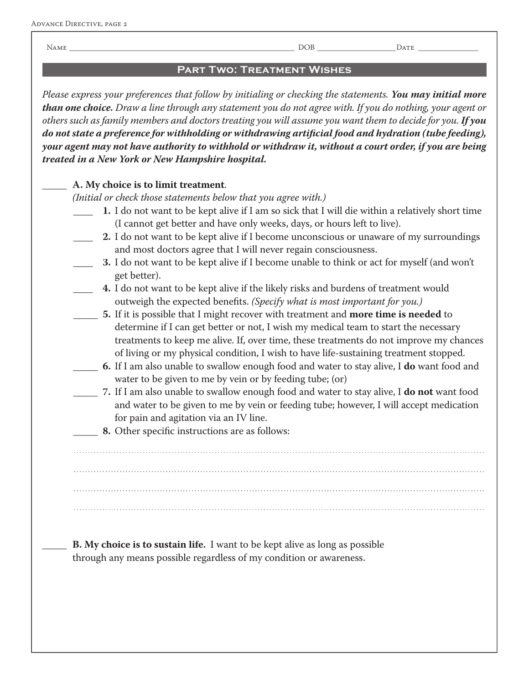NAME \_\_\_\_\_\_\_\_\_\_\_\_\_\_\_\_\_\_\_\_\_\_\_\_\_\_\_\_\_\_\_\_\_\_\_\_\_\_\_\_\_\_\_\_\_\_\_\_\_\_\_\_\_\_\_\_\_\_\_\_ DOB \_\_\_\_\_\_\_\_\_\_\_\_\_\_\_\_\_\_\_\_\_DATE \_\_\_\_\_\_\_\_\_\_\_\_\_\_\_\_

## **Part Two: Treatment Wishes**

*Please express your preferences that follow by initialing or checking the statements. You may initial more than one choice. Draw a line through any statement you do not agree with. If you do nothing, your agent or others such as family members and doctors treating you will assume you want them to decide for you. If you*  do not state a preference for withholding or withdrawing artificial food and hydration (tube feeding), *your agent may not have authority to withhold or withdraw it, without a court order, if you are being treated in a New York or New Hampshire hospital.*

## \_\_\_\_\_ **A. My choice is to limit treatment**.

*(Initial or check those statements below that you agree with.)*

- \_\_\_\_ **1.** I do not want to be kept alive if I am so sick that I will die within a relatively short time (I cannot get better and have only weeks, days, or hours left to live).
- **2.** I do not want to be kept alive if I become unconscious or unaware of my surroundings and most doctors agree that I will never regain consciousness.
	- \_\_\_\_ **3.** I do not want to be kept alive if I become unable to think or act for myself (and won't get better).

\_\_\_\_ **4.** I do not want to be kept alive if the likely risks and burdens of treatment would outweigh the expected benefits. *(Specify what is most important for you.)* 

- \_\_\_\_\_ **5.** If it is possible that I might recover with treatment and **more time is needed** to determine if I can get better or not, I wish my medical team to start the necessary treatments to keep me alive. If, over time, these treatments do not improve my chances of living or my physical condition, I wish to have life-sustaining treatment stopped.
- \_\_\_\_\_ **6.** If I am also unable to swallow enough food and water to stay alive, I **do** want food and water to be given to me by vein or by feeding tube; (or)
- \_\_\_\_\_ **7.** If I am also unable to swallow enough food and water to stay alive, I **do not** want food want food and water to be given to me by vein or feeding tube; however, I will accept medication for pain and agitation via an IV line.
- **8.** Other specific instructions are as follows:

 . . . . . . . . . . . . . . . . . . . . . . . . . . . . . . . . . . . . . . . . . . . . . . . . . . . . . . . . . . . . . . . . . . . . . . . . . . . . . . . . . . . . . . . . . . . . . . . . . . . . . . . . . . . . . . . . . . . . . . . . . . . . . . . . . . . . . . . . . . . . . . . . . . . . . . . . . . . . . . . . . . . . . . . . . . . . . . . . . . . . . . . . . . . . . . . . . . . . . . . . . . . . . . . . . . . . . . . . . . . . . . . . . . . . . . . . . . . . . . . . . . . . . . . . . . . . . . . . . . . . . . . . . . . . . . . . . . . . . . . . . . . . . . . . . . . . . . . . . . . . . . . . . . . . . . . . . . . . . . . . . . . . . . . . . . . . . . . . . . . . . . . . . . . . . . . . . . . . . . . . . . . . . . . . . . . . . . . . . . . . . . . . . . . . . . . . . . . . . . . . . . . . . . . . . . . . . . . . . . . . . . . . . . . . . . . . . . . . . . . . . . . . . . . . . . . . . . . . . . . . . . . . . . . . . . . . . . . . . . . . . . . . . . . . . . . . . . . . . . . . . . . . . . . . . . . . . . . . . . . . . . . . . . . . . . . . . . . . . . . . . . . . . . . . . . . . . . . . . . . . . . . . . . . . . . . .

**B.** My choice is to sustain life. I want to be kept alive as long as possible through any means possible regardless of my condition or awareness.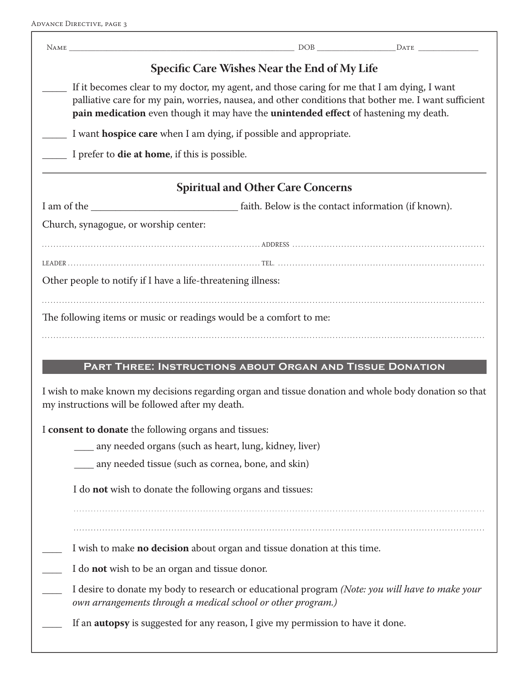| <b>Specific Care Wishes Near the End of My Life</b>                                                                                                                                                                                                                                         |
|---------------------------------------------------------------------------------------------------------------------------------------------------------------------------------------------------------------------------------------------------------------------------------------------|
| If it becomes clear to my doctor, my agent, and those caring for me that I am dying, I want<br>palliative care for my pain, worries, nausea, and other conditions that bother me. I want sufficient<br>pain medication even though it may have the unintended effect of hastening my death. |
| I want <b>hospice care</b> when I am dying, if possible and appropriate.                                                                                                                                                                                                                    |
| I prefer to <b>die at home</b> , if this is possible.                                                                                                                                                                                                                                       |
| <b>Spiritual and Other Care Concerns</b>                                                                                                                                                                                                                                                    |
|                                                                                                                                                                                                                                                                                             |
| Church, synagogue, or worship center:                                                                                                                                                                                                                                                       |
|                                                                                                                                                                                                                                                                                             |
|                                                                                                                                                                                                                                                                                             |
| Other people to notify if I have a life-threatening illness:                                                                                                                                                                                                                                |
| PART THREE: INSTRUCTIONS ABOUT ORGAN AND TISSUE DONATION<br>I wish to make known my decisions regarding organ and tissue donation and whole body donation so that                                                                                                                           |
| my instructions will be followed after my death.                                                                                                                                                                                                                                            |
| I consent to donate the following organs and tissues:                                                                                                                                                                                                                                       |
| any needed organs (such as heart, lung, kidney, liver)                                                                                                                                                                                                                                      |
| __ any needed tissue (such as cornea, bone, and skin)                                                                                                                                                                                                                                       |
| I do not wish to donate the following organs and tissues:                                                                                                                                                                                                                                   |
| I wish to make no decision about organ and tissue donation at this time.                                                                                                                                                                                                                    |
| I do <b>not</b> wish to be an organ and tissue donor.                                                                                                                                                                                                                                       |
| I desire to donate my body to research or educational program (Note: you will have to make your<br>own arrangements through a medical school or other program.)                                                                                                                             |
| If an <b>autopsy</b> is suggested for any reason, I give my permission to have it done.                                                                                                                                                                                                     |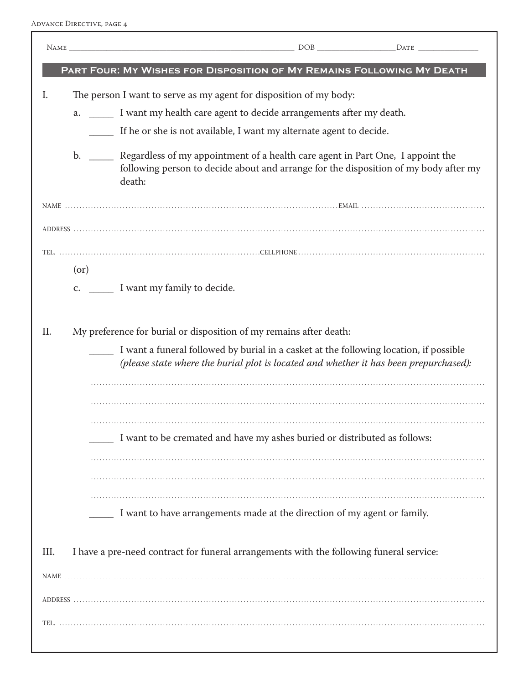ADVANCE DIRECTIVE, PAGE 4

|      | PART FOUR: MY WISHES FOR DISPOSITION OF MY REMAINS FOLLOWING MY DEATH                                                                                                                       |
|------|---------------------------------------------------------------------------------------------------------------------------------------------------------------------------------------------|
| I.   | The person I want to serve as my agent for disposition of my body:                                                                                                                          |
|      | a. _______ I want my health care agent to decide arrangements after my death.                                                                                                               |
|      | If he or she is not available, I want my alternate agent to decide.                                                                                                                         |
|      | b. _______ Regardless of my appointment of a health care agent in Part One, I appoint the<br>following person to decide about and arrange for the disposition of my body after my<br>death: |
|      |                                                                                                                                                                                             |
|      |                                                                                                                                                                                             |
|      |                                                                                                                                                                                             |
|      | $($ or $)$                                                                                                                                                                                  |
|      |                                                                                                                                                                                             |
|      |                                                                                                                                                                                             |
| II.  | My preference for burial or disposition of my remains after death:                                                                                                                          |
|      | I want a funeral followed by burial in a casket at the following location, if possible<br>(please state where the burial plot is located and whether it has been prepurchased):             |
|      |                                                                                                                                                                                             |
|      |                                                                                                                                                                                             |
|      | I want to be cremated and have my ashes buried or distributed as follows:                                                                                                                   |
|      |                                                                                                                                                                                             |
|      |                                                                                                                                                                                             |
|      | I want to have arrangements made at the direction of my agent or family.                                                                                                                    |
| III. | I have a pre-need contract for funeral arrangements with the following funeral service:                                                                                                     |
|      |                                                                                                                                                                                             |
|      |                                                                                                                                                                                             |
|      |                                                                                                                                                                                             |
|      |                                                                                                                                                                                             |
|      |                                                                                                                                                                                             |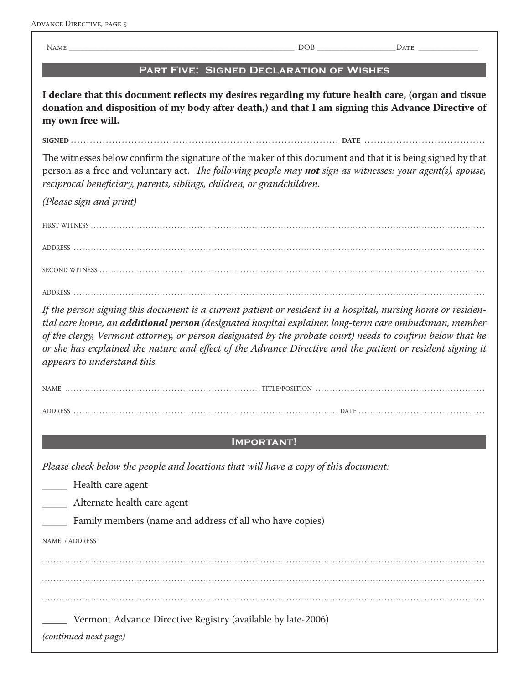NAME \_\_\_\_\_\_\_\_\_\_\_\_\_\_\_\_\_\_\_\_\_\_\_\_\_\_\_\_\_\_\_\_\_\_\_\_\_\_\_\_\_\_\_\_\_\_\_\_\_\_\_\_\_\_\_\_\_\_\_\_ DOB \_\_\_\_\_\_\_\_\_\_\_\_\_\_\_\_\_\_\_\_\_DATE \_\_\_\_\_\_\_\_\_\_\_\_\_\_\_\_ **Part Five: Signed Declaration of Wishes** I declare that this document reflects my desires regarding my future health care, (organ and tissue **donation and disposition of my body after death,) and that I am signing this Advance Directive of my own free will. SIGNED . . . . . . . . . . . . . . . . . . . . . . . . . . . . . . . . . . . . . . . . . . . . . . . . . . . . . . . . . . . . . . . . . . . . . . . . . . . . . . . . . . . . DATE . . . . . . . . . . . . . . . . . . . . . . . . . . . . . . . . . . . . . .** The witnesses below confirm the signature of the maker of this document and that it is being signed by that person as a free and voluntary act. *The following people may not sign as witnesses: your agent(s), spouse,* reciprocal beneficiary, parents, siblings, children, or grandchildren. *(Please sign and print)* FIRST WITNESS ADDRESS . . . . . . . . . . . . . . . . . . . . . . . . . . . . . . . . . . . . . . . . . . . . . . . . . . . . . . . . . . . . . . . . . . . . . . . . . . . . . . . . . . . . . . . . . . . . . . . . . . . . . . . . . . . . . . . . . . . . . . . . . . . . . . . . . . . . . . . . . . . . . . . SECOND WITNESS . . . . . . . . . . . . . . . . . . . . . . . . . . . . . . . . . . . . . . . . . . . . . . . . . . . . . . . . . . . . . . . . . . . . . . . . . . . . . . . . . . . . . . . . . . . . . . . . . . . . . . . . . . . . . . . . . . . . . . . . . . . . . . . . . . . . . . ADDRESS . . . . . . . . . . . . . . . . . . . . . . . . . . . . . . . . . . . . . . . . . . . . . . . . . . . . . . . . . . . . . . . . . . . . . . . . . . . . . . . . . . . . . . . . . . . . . . . . . . . . . . . . . . . . . . . . . . . . . . . . . . . . . . . . . . . . . . . . . . . . . . . *If the person signing this document is a current patient or resident in a hospital, nursing home or residential care home, an additional person (designated hospital explainer, long-term care ombudsman, member of the clergy, Vermont attorney, or person designated by the probate court) needs to confirm below that he* or she has explained the nature and effect of the Advance Directive and the patient or resident signing it *appears to understand this.* NAME TITLE/POSITION ADDRESS experiences and contract the contract of the DATE experience of the DATE experience of the DATE experience of the DATE experience of the DATE experience of the DATE experience of the DATE experience of the DATE exp **Important!** *Please check below the people and locations that will have a copy of this document:* Health care agent \_\_\_\_\_ Alternate health care agent Family members (name and address of all who have copies) NAME / ADDRESS . . . . . . . . . . . . . . . . . . . . . . . . . . . . . . . . . . . . . . . . . . . . . . . . . . . . . . . . . . . . . . . . . . . . . . . . . . . . . . . . . . . . . . . . . . . . . . . . . . . . . . . . . . . . . . . . . . . . . . . . . . . . . . . . . . . . . . . . . . . . . . . . . . . . . . . . . . . . . . . . . . . . . . . . . . . . . . . . . . . . . . . . . . . . . . . . . . . . . . . . . . . . . . . . . . . . . . . . . . . . . . . . . . . . . . . . . . . . . . . . . . . . . . . . . . . . . . . . . . . . . . . . . . . . . . . . . . . . . . . . . . . . . . . . . . . . . . . . . . . . . . . . . . . .

. . . . . . . . . . . . . . . . . . . . . . . . . . . . . . . . . . . . . . . . . . . . . . . . . . . . . . . . . . . . . . . . . . . . . . . . . . . . . . . . . . . . . . . . . . . . . . . . . . . . . . . . . . . . . . . . . . . . . . . . . . . . . . . . . . . . . . . . . . . . . . . . . . . . . . . . . .

Vermont Advance Directive Registry (available by late-2006)

*(continued next page)*